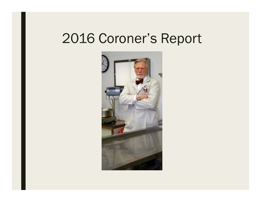# 2016 Coroner's Report

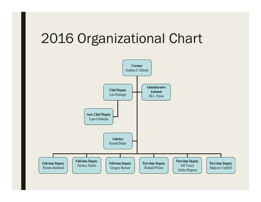# 2016 Organizational Chart

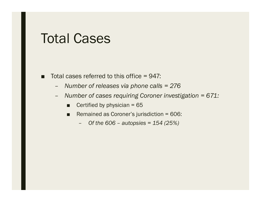#### Total Cases

- ■ Total cases referred to this office = 947:
	- –*Number of releases via phone calls = 276*
	- – *Number of cases requiring Coroner investigation = 671:*
		- ■Certified by physician = 65
		- ■ Remained as Coroner's jurisdiction = 606:
			- *Of the 606 – autopsies = 154 (25%)*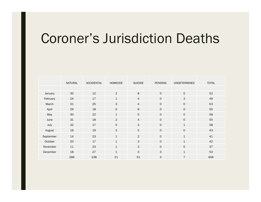# Coroner's Jurisdiction Deaths

|           | <b>NATURAL</b> | <b>ACCIDENTAL</b> | <b>HOMICIDE</b> | <b>SUICIDE</b> | <b>PENDING</b> | UNDETERMINED   | <b>TOTAL</b> |
|-----------|----------------|-------------------|-----------------|----------------|----------------|----------------|--------------|
|           |                |                   |                 |                |                |                |              |
| January   | 30             | 12                | 2               | 8              | $\mathsf{O}$   | $\mathbf 0$    | 52           |
| February  | 24             | 17                | $\mathbf{1}$    | 4              | $\mathsf{O}$   | 3              | 49           |
| March     | 31             | 25                | 3               | 4              | $\mathsf{O}$   | $\mathsf{O}$   | 63           |
| April     | 29             | 18                | $\mathbf 0$     | 8              | $\mathsf{O}$   | $\circ$        | 55           |
| May       | 30             | 22                | $\mathbf{1}$    | 5              | $\mathsf{O}$   | $\circ$        | 58           |
| June      | 31             | 18                | $\overline{2}$  | $\overline{4}$ | $\mathsf{O}$   | $\mathbf 0$    | 55           |
| July      | 32             | 17                | 5               | 3              | $\mathsf{O}$   | $\mathbf{1}$   | 58           |
| August    | 16             | 19                | 3               | 5              | $\mathsf{O}$   | $\mathbf 0$    | 43           |
| September | 14             | 23                | $\mathbf{1}$    | $\overline{c}$ | $\mathsf{O}$   | $\mathbf{1}$   | 41           |
| October   | 20             | 17                | $\mathbf{1}$    | $\mathsf{3}$   | $\mathsf{O}$   | $\mathbf{1}$   | 42           |
| November  | 11             | 23                | $\mathbf{1}$    | $\overline{c}$ | $\mathsf{O}$   | $\mathbf 0$    | 37           |
| December  | 18             | 27                | $\mathbf{1}$    | 3              | 3              | $\mathbf{1}$   | 53           |
|           | 286            | 238               | 21              | 51             | 3              | $\overline{7}$ | 606          |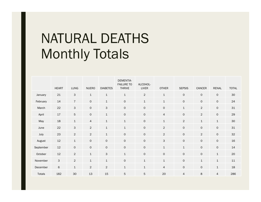# NATURAL DEATHS Monthly Totals

|           | <b>HEART</b> | LUNG            | <b>NUERO</b>   | <b>DIABETES</b>     | <b>DEMENTIA-</b><br><b>FAILURE TO</b><br><b>THRIVE</b> | ALCOHOL-<br>LIVER   | <b>OTHER</b>        | <b>SEPSIS</b>       | CANCER         | <b>RENAL</b>        | <b>TOTAL</b> |
|-----------|--------------|-----------------|----------------|---------------------|--------------------------------------------------------|---------------------|---------------------|---------------------|----------------|---------------------|--------------|
| January   | 21           | $\mathsf 3$     | $\mathbf{1}$   | $\mathbf{1}$        | $\mathbf{1}$                                           | $\sqrt{2}$          | $\mathbf{1}$        | $\mathsf{O}\xspace$ | $\mathsf O$    | $\mathsf{O}\xspace$ | 30           |
| February  | 14           | $\sqrt{ }$      | $\circ$        | $\mathbf{1}$        | $\mathsf O$                                            | $\mathbf 1$         | $\mathbf 1$         | $\mathsf{O}\xspace$ | $\mathsf O$    | $\mathsf{O}\xspace$ | 24           |
| March     | 22           | $\mathsf 3$     | $\circ$        | $\mathsf 3$         | $\mathsf O$                                            | $\mathsf{O}\xspace$ | $\mathsf{O}\xspace$ | $\mathbf 1$         | $\sqrt{2}$     | $\mathsf{O}\xspace$ | 31           |
| April     | $17$         | $5\phantom{.0}$ | $\mathsf O$    | $\mathbf{1}$        | $\mathsf O$                                            | $\mathsf{O}\xspace$ | $\overline{4}$      | $\mathsf{O}\xspace$ | $\overline{2}$ | $\mathsf{O}\xspace$ | 29           |
| May       | 18           | $\mathbf{1}$    | $\overline{4}$ | $\mathbf 1$         | $\mathbf 1$                                            | $\mathsf{O}\xspace$ | $\mathbf 1$         | $\overline{2}$      | $\mathbf 1$    | $\mathbf 1$         | 30           |
| June      | 22           | $\mathbf{3}$    | $\overline{c}$ | $\mathbf{1}$        | $1\,$                                                  | $\mathsf{O}\xspace$ | $\overline{c}$      | $\mathsf{O}\xspace$ | $\mathsf O$    | $\mathsf{O}\xspace$ | 31           |
| July      | 23           | $\sqrt{2}$      | $\overline{c}$ | $\mathbf 1$         | $\mathsf O$                                            | $\mathsf{O}\xspace$ | $\overline{c}$      | $\mathsf{O}\xspace$ | $\sqrt{2}$     | $\mathsf{O}\xspace$ | 32           |
| August    | 12           | $\mathbf{1}$    | $\circ$        | $\mathsf{O}\xspace$ | $\mathsf O$                                            | $\mathsf{O}\xspace$ | 3                   | $\mathsf{O}\xspace$ | $\mathsf O$    | $\mathsf{O}\xspace$ | 16           |
| September | $12\,$       | $\circ$         | $\mathsf{O}$   | $\circ$             | $\mathsf{O}$                                           | $\mathsf{O}\xspace$ | $\mathbf{1}$        | $\mathbf 1$         | $\mathsf{O}$   | $\mathsf O$         | 14           |
| October   | 12           | $\overline{2}$  | $\mathbf 1$    | $\mathsf{3}$        | $1\,$                                                  | $\mathsf{O}\xspace$ | $\mathsf{O}\xspace$ | $\mathsf{O}\xspace$ | $\mathsf O$    | $\mathbf 1$         | 20           |
| November  | $\mathsf{3}$ | $\overline{2}$  | $\mathbf{1}$   | $\mathbf{1}$        | $\mathsf O$                                            | $\mathbf 1$         | $\mathbf{1}$        | $\mathsf{O}\xspace$ | $\mathbf 1$    | $\mathbf 1$         | 11           |
| December  | $\,$ 6 $\,$  | $\mathbf 1$     | $\overline{2}$ | $\sqrt{2}$          | $1\,$                                                  | $\mathbf 1$         | $\overline{4}$      | $\mathsf{O}\xspace$ | $\mathsf O$    | $\mathbf 1$         | 18           |
| Totals    | 182          | 30              | 13             | 15                  | $\mathbf 5$                                            | 5                   | 20                  | $\overline{4}$      | 8              | $\overline{4}$      | 286          |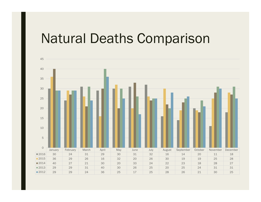## Natural Deaths Comparison

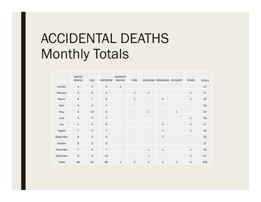# ACCIDENTAL DEATHS Monthly Totals

|           | <b>MOTOR</b><br><b>VEHICLE</b> | <b>FALL</b>    | <b>OVERDOSE</b> | <b>GUNSHOT</b><br><b>WOUND</b> | <b>FIRE</b>    |                | CHOCKING DROWNING CO-SLEEP |              | <b>OTHER</b>   | <b>TOTALS</b> |
|-----------|--------------------------------|----------------|-----------------|--------------------------------|----------------|----------------|----------------------------|--------------|----------------|---------------|
| January   | $\overline{4}$                 | $\overline{2}$ | 5               | $\mathbf{1}$                   |                |                |                            |              |                | 12            |
| February  | 3                              | 6              | 5               |                                | $\mathbf{1}$   | $\mathbf{1}$   |                            |              | $\mathbf{1}$   | 17            |
| March     | 8                              | $\overline{7}$ | 6               |                                | $\mathbf 1$    |                | $\overline{2}$             |              | $\mathbf{1}$   | 25            |
| April     | 6                              | $\sqrt{5}$     | $\overline{7}$  |                                |                |                |                            |              |                | 18            |
| May       | $\overline{4}$                 | 10             | 6               |                                |                | $\mathbf 1$    |                            | $\mathbf 1$  |                | 22            |
| June      | 5                              | 5              | $\overline{7}$  |                                |                |                |                            |              | $\mathbf{1}$   | 18            |
| July      | $\mathbf{1}$                   | $\overline{2}$ | 9               |                                |                |                | 3                          |              | $\overline{2}$ | 17            |
| August    | $\overline{7}$                 | $\mathbf{3}$   | $\overline{7}$  |                                |                |                | $\mathbf 1$                |              | $\mathbf{1}$   | 19            |
| September | 6                              | $\,$ 6         | $\mathsf 9$     |                                |                |                | $\overline{2}$             |              |                | 23            |
| October   | 6                              | $\,$ 6         | $\sqrt{5}$      |                                |                |                |                            |              |                | $17\,$        |
| November  | $\overline{7}$                 | $\,$ 6         | $\overline{7}$  |                                |                | $\mathbf{1}$   | $\mathbf{1}$               |              | $\mathbf{1}$   | 23            |
| December  | 9                              | 3              | 12              |                                |                | $\mathtt 1$    |                            |              | $\overline{2}$ | 27            |
| Totals    | 66                             | 61             | 85              | $1\,$                          | $\overline{2}$ | $\overline{4}$ | 9                          | $\mathbf{1}$ | $\mathsf 9$    | 238           |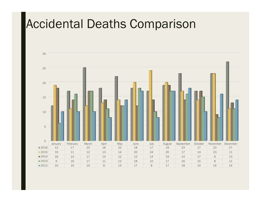## Accidental Deaths Comparison

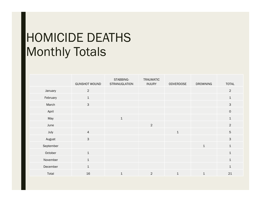## HOMICIDE DEATHS Monthly Totals

|           | <b>GUNSHOT WOUND</b> | STABBING-<br>STRANUGLATION | <b>TRAUMATIC</b><br><b>INJURY</b> | ODVERDOSE    | <b>DROWNING</b> | <b>TOTAL</b>    |
|-----------|----------------------|----------------------------|-----------------------------------|--------------|-----------------|-----------------|
| January   | $\overline{2}$       |                            |                                   |              |                 | $\overline{2}$  |
| February  | $\,1\,$              |                            |                                   |              |                 | $\mathbf{1}$    |
| March     | $\mathbf{3}$         |                            |                                   |              |                 | 3               |
| April     |                      |                            |                                   |              |                 | $\mathsf O$     |
| May       |                      | $\mathbf{1}$               |                                   |              |                 | $\mathbf{1}$    |
| June      |                      |                            | $\overline{2}$                    |              |                 | $\overline{2}$  |
| July      | $\overline{4}$       |                            |                                   | $\mathbf{1}$ |                 | $5\phantom{.0}$ |
| August    | $\mathsf{3}$         |                            |                                   |              |                 | $\mathsf{3}$    |
| September |                      |                            |                                   |              | $\mathbf{1}$    | $\mathbf{1}$    |
| October   | $\mathbf{1}$         |                            |                                   |              |                 | $\mathbf{1}$    |
| November  | $\mathbf{1}$         |                            |                                   |              |                 | $\mathbf{1}$    |
| December  | $\mathbf{1}$         |                            |                                   |              |                 | $\mathbf{1}$    |
| Total     | 16                   | $\mathbf 1$                | $\overline{2}$                    | $\mathbf{1}$ | $\mathbf{1}$    | 21              |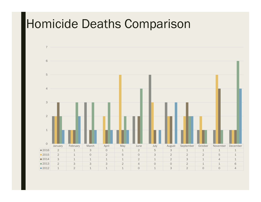#### Homicide Deaths Comparison

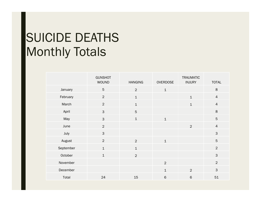## SUICIDE DEATHS Monthly Totals

|           | <b>GUNSHOT</b><br><b>WOUND</b> | <b>HANGING</b> | <b>OVERDOSE</b> | <b>TRAUMATIC</b><br><b>INJURY</b> | <b>TOTAL</b>   |
|-----------|--------------------------------|----------------|-----------------|-----------------------------------|----------------|
| January   | $5\phantom{.}$                 | $\overline{2}$ | $\mathbf 1$     |                                   | $\,8\,$        |
| February  | $\overline{2}$                 | $\mathbf 1$    |                 | $\mathbf 1$                       | $\overline{4}$ |
| March     | $\overline{2}$                 | $\mathbf 1$    |                 | $\mathbf 1$                       | $\overline{4}$ |
| April     | $\mathsf{3}$                   | $\sqrt{5}$     |                 |                                   | $\,8\,$        |
| May       | $\mathbf{3}$                   | $\mathbf 1$    | $\mathbf{1}$    |                                   | $\mathbf 5$    |
| June      | $\overline{2}$                 |                |                 | $\overline{2}$                    | $\overline{4}$ |
| July      | $\mathsf{3}$                   |                |                 |                                   | $\mathsf 3$    |
| August    | $\overline{2}$                 | $\overline{2}$ | $\mathbf{1}$    |                                   | $\overline{5}$ |
| September | $\mathbf{1}$                   | $\mathbf 1$    |                 |                                   | $\overline{2}$ |
| October   | $\mathbf{1}$                   | $\overline{2}$ |                 |                                   | $\mathsf{3}$   |
| November  |                                |                | $\overline{2}$  |                                   | $\overline{2}$ |
| December  |                                |                | $\mathbf{1}$    | $\overline{2}$                    | $\mathsf 3$    |
| Total     | 24                             | 15             | $6\phantom{1}$  | $\,$ 6                            | 51             |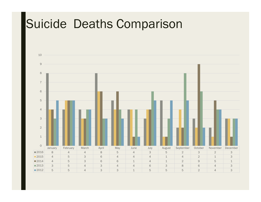### Suicide Deaths Comparison

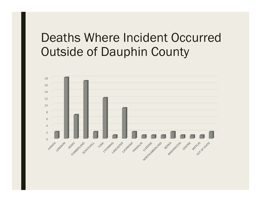#### Deaths Where Incident Occurred Outside of Dauphin County

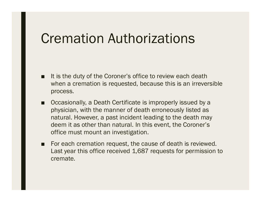## Cremation Authorizations

- It is the duty of the Coroner's office to review each death when a cremation is requested, because this is an irreversible process.
- ■ Occasionally, a Death Certificate is improperly issued by a physician, with the manner of death erroneously listed as natural. However, a past incident leading to the death may deem it as other than natural. In this event, the Coroner's office must mount an investigation.
- For each cremation request, the cause of death is reviewed. Last year this office received 1,687 requests for permission to cremate.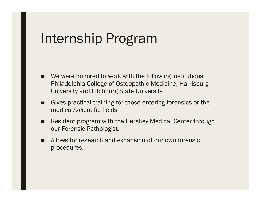# Internship Program

- We were honored to work with the following institutions: Philadelphia College of Osteopathic Medicine, Harrisburg University and Fitchburg State University.
- ■ Gives practical training for those entering forensics or the medical/scientific fields.
- ■ Resident program with the Hershey Medical Center through our Forensic Pathologist.
- ■ Allows for research and expansion of our own forensic procedures.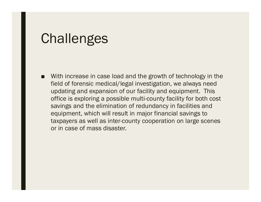#### **Challenges**

■ With increase in case load and the growth of technology in the field of forensic medical/legal investigation, we always need updating and expansion of our facility and equipment. This office is exploring a possible multi-county facility for both cost savings and the elimination of redundancy in facilities and equipment, which will result in major financial savings to taxpayers as well as inter-county cooperation on large scenes or in case of mass disaster.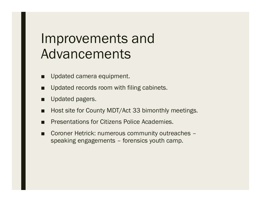# Improvements and Advancements

- ■Updated camera equipment.
- ■Updated records room with filing cabinets.
- ■Updated pagers.
- ■Host site for County MDT/Act 33 bimonthly meetings.
- ■Presentations for Citizens Police Academies.
- ■ Coroner Hetrick: numerous community outreaches – speaking engagements – forensics youth camp.